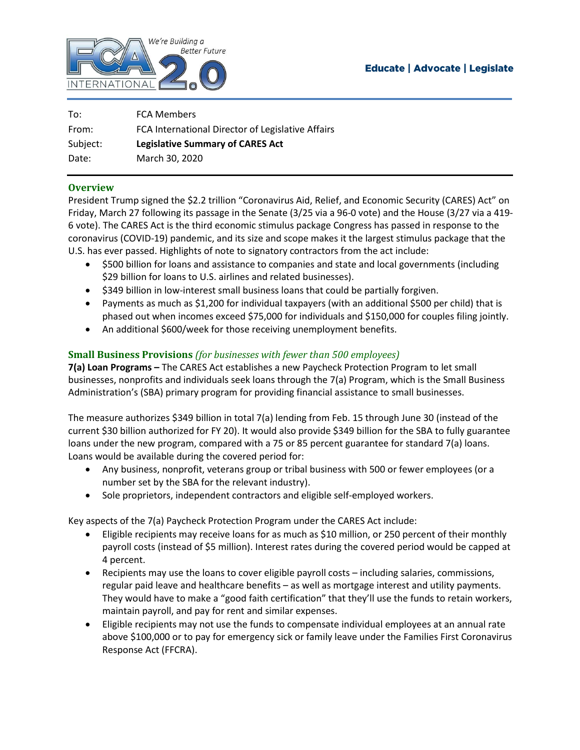

## **Educate | Advocate | Legislate**

| To:      | <b>FCA Members</b>                                |
|----------|---------------------------------------------------|
| From:    | FCA International Director of Legislative Affairs |
| Subject: | <b>Legislative Summary of CARES Act</b>           |
| Date:    | March 30, 2020                                    |

## **Overview**

President Trump signed the \$2.2 trillion "Coronavirus Aid, Relief, and Economic Security (CARES) Act" on Friday, March 27 following its passage in the Senate (3/25 via a 96-0 vote) and the House (3/27 via a 419- 6 vote). The CARES Act is the third economic stimulus package Congress has passed in response to the coronavirus (COVID-19) pandemic, and its size and scope makes it the largest stimulus package that the U.S. has ever passed. Highlights of note to signatory contractors from the act include:

- \$500 billion for loans and assistance to companies and state and local governments (including \$29 billion for loans to U.S. airlines and related businesses).
- \$349 billion in low-interest small business loans that could be partially forgiven.
- Payments as much as \$1,200 for individual taxpayers (with an additional \$500 per child) that is phased out when incomes exceed \$75,000 for individuals and \$150,000 for couples filing jointly.
- An additional \$600/week for those receiving unemployment benefits.

## **Small Business Provisions** *(for businesses with fewer than 500 employees)*

**7(a) Loan Programs –** The CARES Act establishes a new Paycheck Protection Program to let small businesses, nonprofits and individuals seek loans through the 7(a) Program, which is the Small Business Administration's (SBA) primary program for providing financial assistance to small businesses.

The measure authorizes \$349 billion in total 7(a) lending from Feb. 15 through June 30 (instead of the current \$30 billion authorized for FY 20). It would also provide \$349 billion for the SBA to fully guarantee loans under the new program, compared with a 75 or 85 percent guarantee for standard 7(a) loans. Loans would be available during the covered period for:

- Any business, nonprofit, veterans group or tribal business with 500 or fewer employees (or a number set by the SBA for the relevant industry).
- Sole proprietors, independent contractors and eligible self-employed workers.

Key aspects of the 7(a) Paycheck Protection Program under the CARES Act include:

- Eligible recipients may receive loans for as much as \$10 million, or 250 percent of their monthly payroll costs (instead of \$5 million). Interest rates during the covered period would be capped at 4 percent.
- Recipients may use the loans to cover eligible payroll costs including salaries, commissions, regular paid leave and healthcare benefits – as well as mortgage interest and utility payments. They would have to make a "good faith certification" that they'll use the funds to retain workers, maintain payroll, and pay for rent and similar expenses.
- Eligible recipients may not use the funds to compensate individual employees at an annual rate above \$100,000 or to pay for emergency sick or family leave under the Families First Coronavirus Response Act (FFCRA).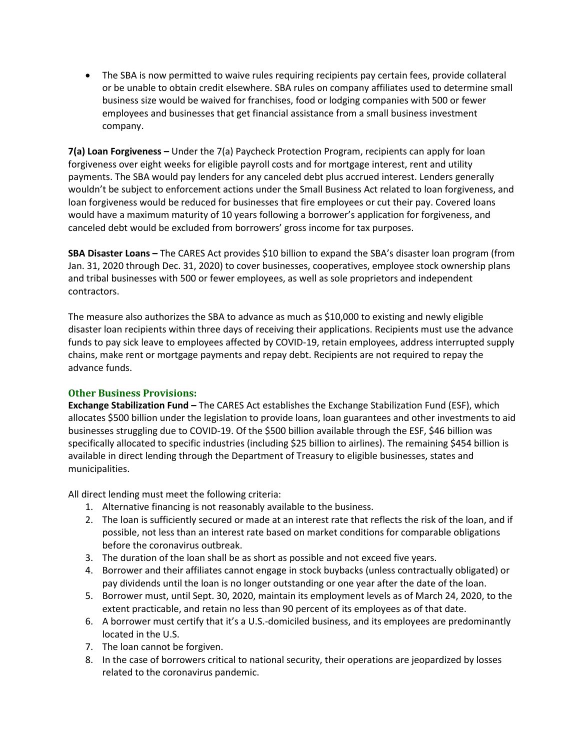The SBA is now permitted to waive rules requiring recipients pay certain fees, provide collateral or be unable to obtain credit elsewhere. SBA rules on company affiliates used to determine small business size would be waived for franchises, food or lodging companies with 500 or fewer employees and businesses that get financial assistance from a small business investment company.

**7(a) Loan Forgiveness –** Under the 7(a) Paycheck Protection Program, recipients can apply for loan forgiveness over eight weeks for eligible payroll costs and for mortgage interest, rent and utility payments. The SBA would pay lenders for any canceled debt plus accrued interest. Lenders generally wouldn't be subject to enforcement actions under the Small Business Act related to loan forgiveness, and loan forgiveness would be reduced for businesses that fire employees or cut their pay. Covered loans would have a maximum maturity of 10 years following a borrower's application for forgiveness, and canceled debt would be excluded from borrowers' gross income for tax purposes.

**SBA Disaster Loans –** The CARES Act provides \$10 billion to expand the SBA's disaster loan program (from Jan. 31, 2020 through Dec. 31, 2020) to cover businesses, cooperatives, employee stock ownership plans and tribal businesses with 500 or fewer employees, as well as sole proprietors and independent contractors.

The measure also authorizes the SBA to advance as much as \$10,000 to existing and newly eligible disaster loan recipients within three days of receiving their applications. Recipients must use the advance funds to pay sick leave to employees affected by COVID-19, retain employees, address interrupted supply chains, make rent or mortgage payments and repay debt. Recipients are not required to repay the advance funds.

## **Other Business Provisions:**

**Exchange Stabilization Fund –** The CARES Act establishes the Exchange Stabilization Fund (ESF), which allocates \$500 billion under the legislation to provide loans, loan guarantees and other investments to aid businesses struggling due to COVID-19. Of the \$500 billion available through the ESF, \$46 billion was specifically allocated to specific industries (including \$25 billion to airlines). The remaining \$454 billion is available in direct lending through the Department of Treasury to eligible businesses, states and municipalities.

All direct lending must meet the following criteria:

- 1. Alternative financing is not reasonably available to the business.
- 2. The loan is sufficiently secured or made at an interest rate that reflects the risk of the loan, and if possible, not less than an interest rate based on market conditions for comparable obligations before the coronavirus outbreak.
- 3. The duration of the loan shall be as short as possible and not exceed five years.
- 4. Borrower and their affiliates cannot engage in stock buybacks (unless contractually obligated) or pay dividends until the loan is no longer outstanding or one year after the date of the loan.
- 5. Borrower must, until Sept. 30, 2020, maintain its employment levels as of March 24, 2020, to the extent practicable, and retain no less than 90 percent of its employees as of that date.
- 6. A borrower must certify that it's a U.S.-domiciled business, and its employees are predominantly located in the U.S.
- 7. The loan cannot be forgiven.
- 8. In the case of borrowers critical to national security, their operations are jeopardized by losses related to the coronavirus pandemic.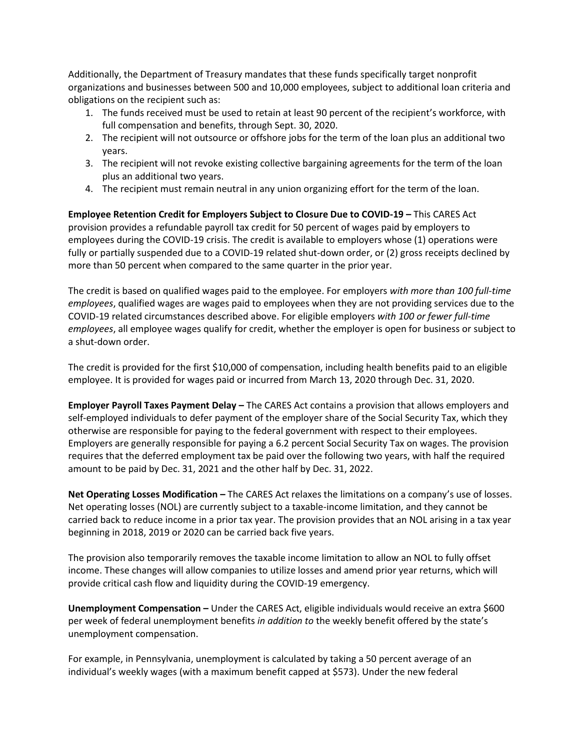Additionally, the Department of Treasury mandates that these funds specifically target nonprofit organizations and businesses between 500 and 10,000 employees, subject to additional loan criteria and obligations on the recipient such as:

- 1. The funds received must be used to retain at least 90 percent of the recipient's workforce, with full compensation and benefits, through Sept. 30, 2020.
- 2. The recipient will not outsource or offshore jobs for the term of the loan plus an additional two years.
- 3. The recipient will not revoke existing collective bargaining agreements for the term of the loan plus an additional two years.
- 4. The recipient must remain neutral in any union organizing effort for the term of the loan.

**Employee Retention Credit for Employers Subject to Closure Due to COVID-19 –** This CARES Act provision provides a refundable payroll tax credit for 50 percent of wages paid by employers to employees during the COVID-19 crisis. The credit is available to employers whose (1) operations were fully or partially suspended due to a COVID-19 related shut-down order, or (2) gross receipts declined by more than 50 percent when compared to the same quarter in the prior year.

The credit is based on qualified wages paid to the employee. For employers *with more than 100 full-time employees*, qualified wages are wages paid to employees when they are not providing services due to the COVID-19 related circumstances described above. For eligible employers *with 100 or fewer full-time employees*, all employee wages qualify for credit, whether the employer is open for business or subject to a shut-down order.

The credit is provided for the first \$10,000 of compensation, including health benefits paid to an eligible employee. It is provided for wages paid or incurred from March 13, 2020 through Dec. 31, 2020.

**Employer Payroll Taxes Payment Delay –** The CARES Act contains a provision that allows employers and self-employed individuals to defer payment of the employer share of the Social Security Tax, which they otherwise are responsible for paying to the federal government with respect to their employees. Employers are generally responsible for paying a 6.2 percent Social Security Tax on wages. The provision requires that the deferred employment tax be paid over the following two years, with half the required amount to be paid by Dec. 31, 2021 and the other half by Dec. 31, 2022.

**Net Operating Losses Modification –** The CARES Act relaxes the limitations on a company's use of losses. Net operating losses (NOL) are currently subject to a taxable-income limitation, and they cannot be carried back to reduce income in a prior tax year. The provision provides that an NOL arising in a tax year beginning in 2018, 2019 or 2020 can be carried back five years.

The provision also temporarily removes the taxable income limitation to allow an NOL to fully offset income. These changes will allow companies to utilize losses and amend prior year returns, which will provide critical cash flow and liquidity during the COVID-19 emergency.

**Unemployment Compensation –** Under the CARES Act, eligible individuals would receive an extra \$600 per week of federal unemployment benefits *in addition to* the weekly benefit offered by the state's unemployment compensation.

For example, in Pennsylvania, unemployment is calculated by taking a 50 percent average of an individual's weekly wages (with a maximum benefit capped at \$573). Under the new federal